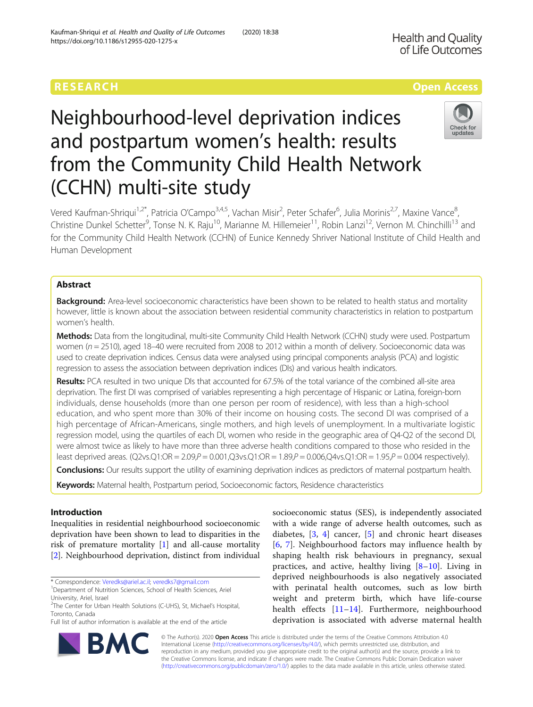**Health and Quality** of Life Outcomes

# Neighbourhood-level deprivation indices and postpartum women's health: results from the Community Child Health Network (CCHN) multi-site study



Vered Kaufman-Shriqui<sup>1,2\*</sup>, Patricia O'Campo<sup>3,4,5</sup>, Vachan Misir<sup>2</sup>, Peter Schafer<sup>6</sup>, Julia Morinis<sup>2,7</sup>, Maxine Vance<sup>8</sup> , Christine Dunkel Schetter<sup>9</sup>, Tonse N. K. Raju<sup>10</sup>, Marianne M. Hillemeier<sup>11</sup>, Robin Lanzi<sup>12</sup>, Vernon M. Chinchilli<sup>13</sup> and for the Community Child Health Network (CCHN) of Eunice Kennedy Shriver National Institute of Child Health and Human Development

# Abstract

Background: Area-level socioeconomic characteristics have been shown to be related to health status and mortality however, little is known about the association between residential community characteristics in relation to postpartum women's health.

Methods: Data from the longitudinal, multi-site Community Child Health Network (CCHN) study were used. Postpartum women (n = 2510), aged 18-40 were recruited from 2008 to 2012 within a month of delivery. Socioeconomic data was used to create deprivation indices. Census data were analysed using principal components analysis (PCA) and logistic regression to assess the association between deprivation indices (DIs) and various health indicators.

Results: PCA resulted in two unique DIs that accounted for 67.5% of the total variance of the combined all-site area deprivation. The first DI was comprised of variables representing a high percentage of Hispanic or Latina, foreign-born individuals, dense households (more than one person per room of residence), with less than a high-school education, and who spent more than 30% of their income on housing costs. The second DI was comprised of a high percentage of African-Americans, single mothers, and high levels of unemployment. In a multivariate logistic regression model, using the quartiles of each DI, women who reside in the geographic area of Q4-Q2 of the second DI, were almost twice as likely to have more than three adverse health conditions compared to those who resided in the least deprived areas. (Q2vs.Q1:OR =  $2.09$ , $P = 0.001$ ,Q3vs.Q1:OR =  $1.89$ , $P = 0.006$ ,Q4vs.Q1:OR =  $1.95$ , $P = 0.004$  respectively).

Conclusions: Our results support the utility of examining deprivation indices as predictors of maternal postpartum health.

Keywords: Maternal health, Postpartum period, Socioeconomic factors, Residence characteristics

# Introduction

Inequalities in residential neighbourhood socioeconomic deprivation have been shown to lead to disparities in the risk of premature mortality [[1\]](#page-8-0) and all-cause mortality [[2\]](#page-8-0). Neighbourhood deprivation, distinct from individual

\* Correspondence: [Veredks@ariel.ac.il;](mailto:Veredks@ariel.ac.il) [veredks7@gmail.com](mailto:veredks7@gmail.com) <sup>1</sup>



© The Author(s). 2020 **Open Access** This article is distributed under the terms of the Creative Commons Attribution 4.0 International License [\(http://creativecommons.org/licenses/by/4.0/](http://creativecommons.org/licenses/by/4.0/)), which permits unrestricted use, distribution, and reproduction in any medium, provided you give appropriate credit to the original author(s) and the source, provide a link to the Creative Commons license, and indicate if changes were made. The Creative Commons Public Domain Dedication waiver [\(http://creativecommons.org/publicdomain/zero/1.0/](http://creativecommons.org/publicdomain/zero/1.0/)) applies to the data made available in this article, unless otherwise stated.



<sup>&</sup>lt;sup>1</sup>Department of Nutrition Sciences, School of Health Sciences, Ariel University, Ariel, Israel

<sup>&</sup>lt;sup>2</sup>The Center for Urban Health Solutions (C-UHS), St, Michael's Hospital, Toronto, Canada

Full list of author information is available at the end of the article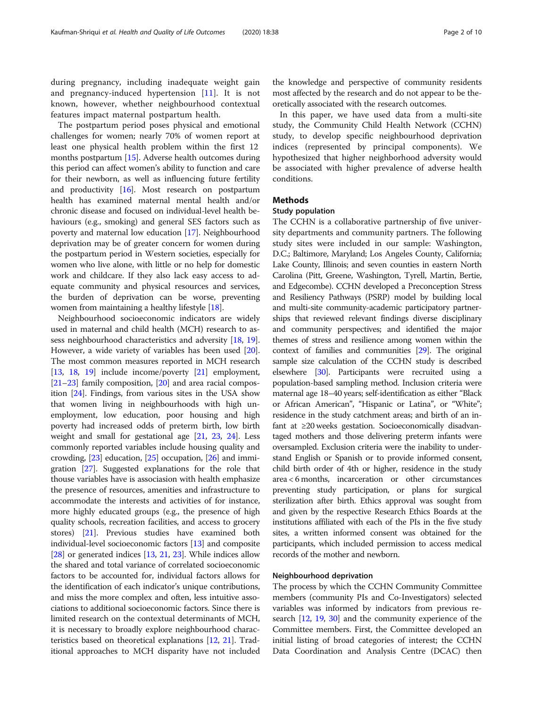during pregnancy, including inadequate weight gain and pregnancy-induced hypertension [\[11](#page-8-0)]. It is not known, however, whether neighbourhood contextual features impact maternal postpartum health.

The postpartum period poses physical and emotional challenges for women; nearly 70% of women report at least one physical health problem within the first 12 months postpartum [\[15\]](#page-8-0). Adverse health outcomes during this period can affect women's ability to function and care for their newborn, as well as influencing future fertility and productivity  $[16]$  $[16]$  $[16]$ . Most research on postpartum health has examined maternal mental health and/or chronic disease and focused on individual-level health behaviours (e.g., smoking) and general SES factors such as poverty and maternal low education [\[17\]](#page-8-0). Neighbourhood deprivation may be of greater concern for women during the postpartum period in Western societies, especially for women who live alone, with little or no help for domestic work and childcare. If they also lack easy access to adequate community and physical resources and services, the burden of deprivation can be worse, preventing women from maintaining a healthy lifestyle [[18](#page-8-0)].

Neighbourhood socioeconomic indicators are widely used in maternal and child health (MCH) research to assess neighbourhood characteristics and adversity [[18](#page-8-0), [19](#page-8-0)]. However, a wide variety of variables has been used [[20](#page-8-0)]. The most common measures reported in MCH research [[13](#page-8-0), [18,](#page-8-0) [19](#page-8-0)] include income/poverty [[21](#page-8-0)] employment, [[21](#page-8-0)–[23\]](#page-8-0) family composition, [\[20\]](#page-8-0) and area racial composition [\[24\]](#page-8-0). Findings, from various sites in the USA show that women living in neighbourhoods with high unemployment, low education, poor housing and high poverty had increased odds of preterm birth, low birth weight and small for gestational age [[21](#page-8-0), [23](#page-8-0), [24](#page-8-0)]. Less commonly reported variables include housing quality and crowding, [\[23\]](#page-8-0) education, [[25](#page-8-0)] occupation, [[26](#page-8-0)] and immigration [\[27\]](#page-8-0). Suggested explanations for the role that thouse variables have is associasion with health emphasize the presence of resources, amenities and infrastructure to accommodate the interests and activities of for instance, more highly educated groups (e.g., the presence of high quality schools, recreation facilities, and access to grocery stores) [\[21\]](#page-8-0). Previous studies have examined both individual-level socioeconomic factors [[13](#page-8-0)] and composite [[28](#page-8-0)] or generated indices [[13](#page-8-0), [21](#page-8-0), [23\]](#page-8-0). While indices allow the shared and total variance of correlated socioeconomic factors to be accounted for, individual factors allows for the identification of each indicator's unique contributions, and miss the more complex and often, less intuitive associations to additional socioeconomic factors. Since there is limited research on the contextual determinants of MCH, it is necessary to broadly explore neighbourhood characteristics based on theoretical explanations [[12](#page-8-0), [21\]](#page-8-0). Traditional approaches to MCH disparity have not included the knowledge and perspective of community residents most affected by the research and do not appear to be theoretically associated with the research outcomes.

In this paper, we have used data from a multi-site study, the Community Child Health Network (CCHN) study, to develop specific neighbourhood deprivation indices (represented by principal components). We hypothesized that higher neighborhood adversity would be associated with higher prevalence of adverse health conditions.

# **Methods**

# Study population

The CCHN is a collaborative partnership of five university departments and community partners. The following study sites were included in our sample: Washington, D.C.; Baltimore, Maryland; Los Angeles County, California; Lake County, Illinois; and seven counties in eastern North Carolina (Pitt, Greene, Washington, Tyrell, Martin, Bertie, and Edgecombe). CCHN developed a Preconception Stress and Resiliency Pathways (PSRP) model by building local and multi-site community-academic participatory partnerships that reviewed relevant findings diverse disciplinary and community perspectives; and identified the major themes of stress and resilience among women within the context of families and communities [[29](#page-8-0)]. The original sample size calculation of the CCHN study is described elsewhere [[30](#page-9-0)]. Participants were recruited using a population-based sampling method. Inclusion criteria were maternal age 18–40 years; self-identification as either "Black or African American", "Hispanic or Latina", or "White"; residence in the study catchment areas; and birth of an infant at ≥20 weeks gestation. Socioeconomically disadvantaged mothers and those delivering preterm infants were oversampled. Exclusion criteria were the inability to understand English or Spanish or to provide informed consent, child birth order of 4th or higher, residence in the study area < 6 months, incarceration or other circumstances preventing study participation, or plans for surgical sterilization after birth. Ethics approval was sought from and given by the respective Research Ethics Boards at the institutions affiliated with each of the PIs in the five study sites, a written informed consent was obtained for the participants, which included permission to access medical records of the mother and newborn.

## Neighbourhood deprivation

The process by which the CCHN Community Committee members (community PIs and Co-Investigators) selected variables was informed by indicators from previous research [[12,](#page-8-0) [19,](#page-8-0) [30](#page-9-0)] and the community experience of the Committee members. First, the Committee developed an initial listing of broad categories of interest; the CCHN Data Coordination and Analysis Centre (DCAC) then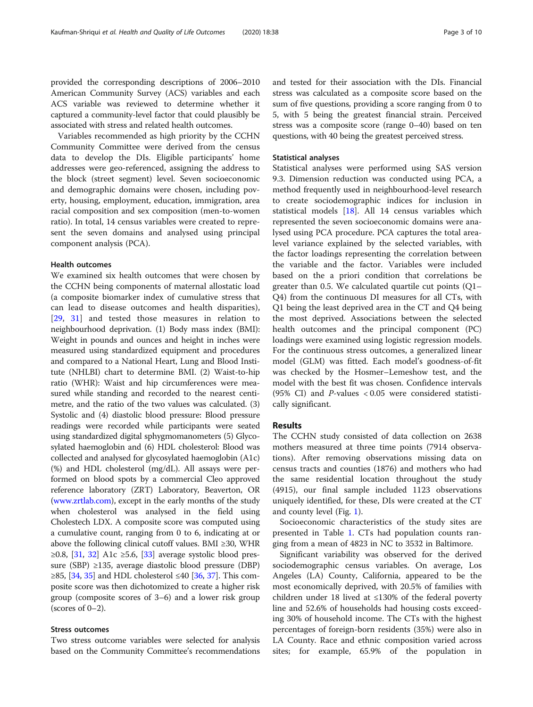provided the corresponding descriptions of 2006–2010 American Community Survey (ACS) variables and each ACS variable was reviewed to determine whether it captured a community-level factor that could plausibly be associated with stress and related health outcomes.

Variables recommended as high priority by the CCHN Community Committee were derived from the census data to develop the DIs. Eligible participants' home addresses were geo-referenced, assigning the address to the block (street segment) level. Seven socioeconomic and demographic domains were chosen, including poverty, housing, employment, education, immigration, area racial composition and sex composition (men-to-women ratio). In total, 14 census variables were created to represent the seven domains and analysed using principal component analysis (PCA).

## Health outcomes

We examined six health outcomes that were chosen by the CCHN being components of maternal allostatic load (a composite biomarker index of cumulative stress that can lead to disease outcomes and health disparities), [[29,](#page-8-0) [31](#page-9-0)] and tested those measures in relation to neighbourhood deprivation. (1) Body mass index (BMI): Weight in pounds and ounces and height in inches were measured using standardized equipment and procedures and compared to a National Heart, Lung and Blood Institute (NHLBI) chart to determine BMI. (2) Waist-to-hip ratio (WHR): Waist and hip circumferences were measured while standing and recorded to the nearest centimetre, and the ratio of the two values was calculated. (3) Systolic and (4) diastolic blood pressure: Blood pressure readings were recorded while participants were seated using standardized digital sphygmomanometers (5) Glycosylated haemoglobin and (6) HDL cholesterol: Blood was collected and analysed for glycosylated haemoglobin (A1c) (%) and HDL cholesterol (mg/dL). All assays were performed on blood spots by a commercial Cleo approved reference laboratory (ZRT) Laboratory, Beaverton, OR ([www.zrtlab.com](http://www.zrtlab.com)), except in the early months of the study when cholesterol was analysed in the field using Cholestech LDX. A composite score was computed using a cumulative count, ranging from 0 to 6, indicating at or above the following clinical cutoff values. BMI ≥30, WHR ≥0.8, [[31](#page-9-0), [32\]](#page-9-0) A1c ≥5.6, [[33](#page-9-0)] average systolic blood pressure (SBP) ≥135, average diastolic blood pressure (DBP) ≥85, [[34](#page-9-0), [35\]](#page-9-0) and HDL cholesterol ≤40 [\[36,](#page-9-0) [37](#page-9-0)]. This composite score was then dichotomized to create a higher risk group (composite scores of 3–6) and a lower risk group (scores of  $0-2$ ).

# Stress outcomes

Two stress outcome variables were selected for analysis based on the Community Committee's recommendations and tested for their association with the DIs. Financial stress was calculated as a composite score based on the sum of five questions, providing a score ranging from 0 to 5, with 5 being the greatest financial strain. Perceived stress was a composite score (range 0–40) based on ten questions, with 40 being the greatest perceived stress.

# Statistical analyses

Statistical analyses were performed using SAS version 9.3. Dimension reduction was conducted using PCA, a method frequently used in neighbourhood-level research to create sociodemographic indices for inclusion in statistical models [\[18](#page-8-0)]. All 14 census variables which represented the seven socioeconomic domains were analysed using PCA procedure. PCA captures the total arealevel variance explained by the selected variables, with the factor loadings representing the correlation between the variable and the factor. Variables were included based on the a priori condition that correlations be greater than 0.5. We calculated quartile cut points (Q1– Q4) from the continuous DI measures for all CTs, with Q1 being the least deprived area in the CT and Q4 being the most deprived. Associations between the selected health outcomes and the principal component (PC) loadings were examined using logistic regression models. For the continuous stress outcomes, a generalized linear model (GLM) was fitted. Each model's goodness-of-fit was checked by the Hosmer–Lemeshow test, and the model with the best fit was chosen. Confidence intervals (95% CI) and  $P$ -values < 0.05 were considered statistically significant.

## Results

The CCHN study consisted of data collection on 2638 mothers measured at three time points (7914 observations). After removing observations missing data on census tracts and counties (1876) and mothers who had the same residential location throughout the study (4915), our final sample included 1123 observations uniquely identified, for these, DIs were created at the CT and county level (Fig. [1](#page-3-0)).

Socioeconomic characteristics of the study sites are presented in Table [1.](#page-4-0) CTs had population counts ranging from a mean of 4823 in NC to 3532 in Baltimore.

Significant variability was observed for the derived sociodemographic census variables. On average, Los Angeles (LA) County, California, appeared to be the most economically deprived, with 20.5% of families with children under 18 lived at ≤130% of the federal poverty line and 52.6% of households had housing costs exceeding 30% of household income. The CTs with the highest percentages of foreign-born residents (35%) were also in LA County. Race and ethnic composition varied across sites; for example, 65.9% of the population in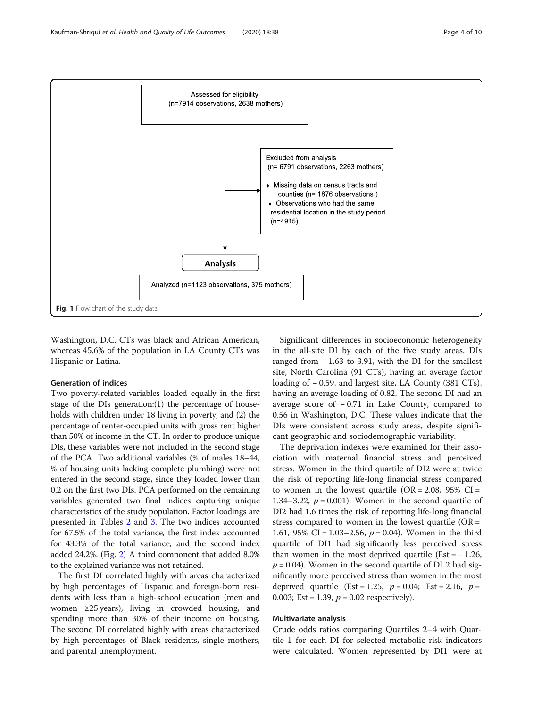<span id="page-3-0"></span>

Washington, D.C. CTs was black and African American, whereas 45.6% of the population in LA County CTs was Hispanic or Latina.

# Generation of indices

Two poverty-related variables loaded equally in the first stage of the DIs generation:(1) the percentage of households with children under 18 living in poverty, and (2) the percentage of renter-occupied units with gross rent higher than 50% of income in the CT. In order to produce unique DIs, these variables were not included in the second stage of the PCA. Two additional variables (% of males 18–44, % of housing units lacking complete plumbing) were not entered in the second stage, since they loaded lower than 0.2 on the first two DIs. PCA performed on the remaining variables generated two final indices capturing unique characteristics of the study population. Factor loadings are presented in Tables [2](#page-5-0) and [3](#page-5-0). The two indices accounted for 67.5% of the total variance, the first index accounted for 43.3% of the total variance, and the second index added 24.2%. (Fig. [2\)](#page-6-0) A third component that added 8.0% to the explained variance was not retained.

The first DI correlated highly with areas characterized by high percentages of Hispanic and foreign-born residents with less than a high-school education (men and women ≥25 years), living in crowded housing, and spending more than 30% of their income on housing. The second DI correlated highly with areas characterized by high percentages of Black residents, single mothers, and parental unemployment.

Significant differences in socioeconomic heterogeneity in the all-site DI by each of the five study areas. DIs ranged from − 1.63 to 3.91, with the DI for the smallest site, North Carolina (91 CTs), having an average factor loading of − 0.59, and largest site, LA County (381 CTs), having an average loading of 0.82. The second DI had an average score of − 0.71 in Lake County, compared to 0.56 in Washington, D.C. These values indicate that the DIs were consistent across study areas, despite significant geographic and sociodemographic variability.

The deprivation indexes were examined for their association with maternal financial stress and perceived stress. Women in the third quartile of DI2 were at twice the risk of reporting life-long financial stress compared to women in the lowest quartile  $(OR = 2.08, 95\% \text{ CI} =$ 1.34–3.22,  $p = 0.001$ ). Women in the second quartile of DI2 had 1.6 times the risk of reporting life-long financial stress compared to women in the lowest quartile  $(OR =$ 1.61, 95% CI = 1.03–2.56,  $p = 0.04$ ). Women in the third quartile of DI1 had significantly less perceived stress than women in the most deprived quartile  $(Est = -1.26,$  $p = 0.04$ ). Women in the second quartile of DI 2 had significantly more perceived stress than women in the most deprived quartile (Est = 1.25,  $p = 0.04$ ; Est = 2.16,  $p =$ 0.003; Est = 1.39,  $p = 0.02$  respectively).

# Multivariate analysis

Crude odds ratios comparing Quartiles 2–4 with Quartile 1 for each DI for selected metabolic risk indicators were calculated. Women represented by DI1 were at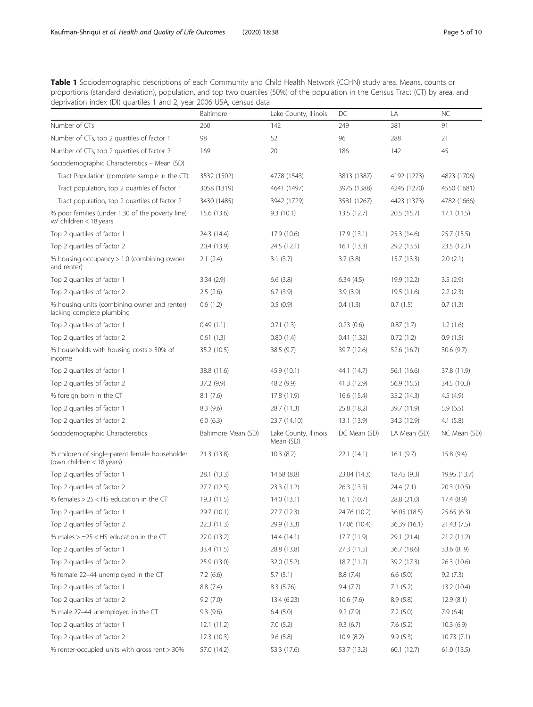<span id="page-4-0"></span>Table 1 Sociodemographic descriptions of each Community and Child Health Network (CCHN) study area. Means, counts or proportions (standard deviation), population, and top two quartiles (50%) of the population in the Census Tract (CT) by area, and deprivation index (DI) quartiles 1 and 2, year 2006 USA, census data

|                                                                             | Baltimore           | Lake County, Illinois              | DC           | LA           | NC           |
|-----------------------------------------------------------------------------|---------------------|------------------------------------|--------------|--------------|--------------|
| Number of CTs                                                               | 260                 | 142                                | 249          | 381          | 91           |
| Number of CTs, top 2 quartiles of factor 1                                  | 98                  | 52                                 | 96           | 288          | 21           |
| Number of CTs, top 2 quartiles of factor 2                                  | 169                 | 20                                 | 186          | 142          | 45           |
| Sociodemographic Characteristics - Mean (SD)                                |                     |                                    |              |              |              |
| Tract Population (complete sample in the CT)                                | 3532 (1502)         | 4778 (1543)                        | 3813 (1387)  | 4192 (1273)  | 4823 (1706)  |
| Tract population, top 2 quartiles of factor 1                               | 3058 (1319)         | 4641 (1497)                        | 3975 (1388)  | 4245 (1270)  | 4550 (1681)  |
| Tract population, top 2 quartiles of factor 2                               | 3430 (1485)         | 3942 (1729)                        | 3581 (1267)  | 4423 (1373)  | 4782 (1666)  |
| % poor families (under 1.30 of the poverty line)<br>w/ children < 18 years  | 15.6 (13.6)         | 9.3(10.1)                          | 13.5 (12.7)  | 20.5 (15.7)  | 17.1(11.5)   |
| Top 2 quartiles of factor 1                                                 | 24.3 (14.4)         | 17.9 (10.6)                        | 17.9(13.1)   | 25.3 (14.6)  | 25.7 (15.5)  |
| Top 2 quartiles of factor 2                                                 | 20.4 (13.9)         | 24.5(12.1)                         | 16.1(13.3)   | 29.2 (13.5)  | 23.5 (12.1)  |
| % housing occupancy > 1.0 (combining owner<br>and renter)                   | 2.1(2.4)            | 3.1(3.7)                           | 3.7(3.8)     | 15.7(13.3)   | 2.0(2.1)     |
| Top 2 quartiles of factor 1                                                 | 3.34(2.9)           | 6.6(3.8)                           | 6.34(4.5)    | 19.9 (12.2)  | 3.5(2.9)     |
| Top 2 quartiles of factor 2                                                 | 2.5(2.6)            | 6.7(3.9)                           | 3.9(3.9)     | 19.5 (11.6)  | 2.2(2.3)     |
| % housing units (combining owner and renter)<br>lacking complete plumbing   | 0.6(1.2)            | 0.5(0.9)                           | 0.4(1.3)     | 0.7(1.5)     | 0.7(1.3)     |
| Top 2 quartiles of factor 1                                                 | 0.49(1.1)           | 0.71(1.3)                          | 0.23(0.6)    | 0.87(1.7)    | 1.2(1.6)     |
| Top 2 quartiles of factor 2                                                 | 0.61(1.3)           | 0.80(1.4)                          | 0.41(1.32)   | 0.72(1.2)    | 0.9(1.5)     |
| % households with housing costs > 30% of<br>income                          | 35.2 (10.5)         | 38.5 (9.7)                         | 39.7 (12.6)  | 52.6 (16.7)  | 30.6 (9.7)   |
| Top 2 quartiles of factor 1                                                 | 38.8 (11.6)         | 45.9 (10.1)                        | 44.1 (14.7)  | 56.1 (16.6)  | 37.8 (11.9)  |
| Top 2 quartiles of factor 2                                                 | 37.2 (9.9)          | 48.2 (9.9)                         | 41.3 (12.9)  | 56.9 (15.5)  | 34.5 (10.3)  |
| % foreign born in the CT                                                    | 8.1(7.6)            | 17.8 (11.9)                        | 16.6(15.4)   | 35.2 (14.3)  | 4.5(4.9)     |
| Top 2 quartiles of factor 1                                                 | 8.3(9.6)            | 28.7 (11.3)                        | 25.8 (18.2)  | 39.7 (11.9)  | 5.9(6.5)     |
| Top 2 quartiles of factor 2                                                 | 6.0(6.3)            | 23.7 (14.10)                       | 13.1 (13.9)  | 34.3 (12.9)  | 4.1(5.8)     |
| Sociodemographic Characteristics                                            | Baltimore Mean (SD) | Lake County, Illinois<br>Mean (SD) | DC Mean (SD) | LA Mean (SD) | NC Mean (SD) |
| % children of single-parent female householder<br>(own children < 18 years) | 21.3 (13.8)         | 10.3(8.2)                          | 22.1(14.1)   | 16.1(9.7)    | 15.8(9.4)    |
| Top 2 quartiles of factor 1                                                 | 28.1 (13.3)         | 14.68 (8.8)                        | 23.84 (14.3) | 18.45 (9.3)  | 19.95 (13.7) |
| Top 2 quartiles of factor 2                                                 | 27.7 (12.5)         | 23.3 (11.2)                        | 26.3 (13.5)  | 24.4 (7.1)   | 20.3 (10.5)  |
| % females $> 25 <$ HS education in the CT                                   | 19.3 (11.5)         | 14.0(13.1)                         | 16.1(10.7)   | 28.8 (21.0)  | 17.4 (8.9)   |
| Top 2 quartiles of factor 1                                                 | 29.7 (10.1)         | 27.7 (12.3)                        | 24.76 (10.2) | 36.05 (18.5) | 25.65 (6.3)  |
| Top 2 quartiles of factor 2                                                 | 22.3 (11.3)         | 29.9 (13.3)                        | 17.06 (10.4) | 36.39 (16.1) | 21.43 (7.5)  |
| % males $> = 25 <$ HS education in the CT                                   | 22.0 (13.2)         | 14.4(14.1)                         | 17.7 (11.9)  | 29.1 (21.4)  | 21.2 (11.2)  |
| Top 2 quartiles of factor 1                                                 | 33.4 (11.5)         | 28.8 (13.8)                        | 27.3 (11.5)  | 36.7 (18.6)  | 33.6 (8.9)   |
| Top 2 quartiles of factor 2                                                 | 25.9 (13.0)         | 32.0 (15.2)                        | 18.7 (11.2)  | 39.2 (17.3)  | 26.3 (10.6)  |
| % female 22-44 unemployed in the CT                                         | 7.2(6.6)            | 5.7(5.1)                           | 8.8(7.4)     | 6.6(5.0)     | 9.2(7.3)     |
| Top 2 quartiles of factor 1                                                 | 8.8(7.4)            | 8.3 (5.76)                         | 9.4(7.7)     | 7.1(5.2)     | 13.2 (10.4)  |
| Top 2 quartiles of factor 2                                                 | 9.2(7.0)            | 13.4 (6.23)                        | 10.6(7.6)    | 8.9(5.8)     | 12.9(8.1)    |
| % male 22-44 unemployed in the CT                                           | 9.3(9.6)            | 6.4(5.0)                           | 9.2(7.9)     | 7.2(5.0)     | 7.9(6.4)     |
| Top 2 quartiles of factor 1                                                 | 12.1(11.2)          | 7.0(5.2)                           | 9.3(6.7)     | 7.6(5.2)     | 10.3(6.9)    |
| Top 2 quartiles of factor 2                                                 | 12.3 (10.3)         | 9.6(5.8)                           | 10.9(8.2)    | 9.9(5.3)     | 10.73(7.1)   |
| % renter-occupied units with gross rent > 30%                               | 57.0 (14.2)         | 53.3 (17.6)                        | 53.7 (13.2)  | 60.1 (12.7)  | 61.0 (13.5)  |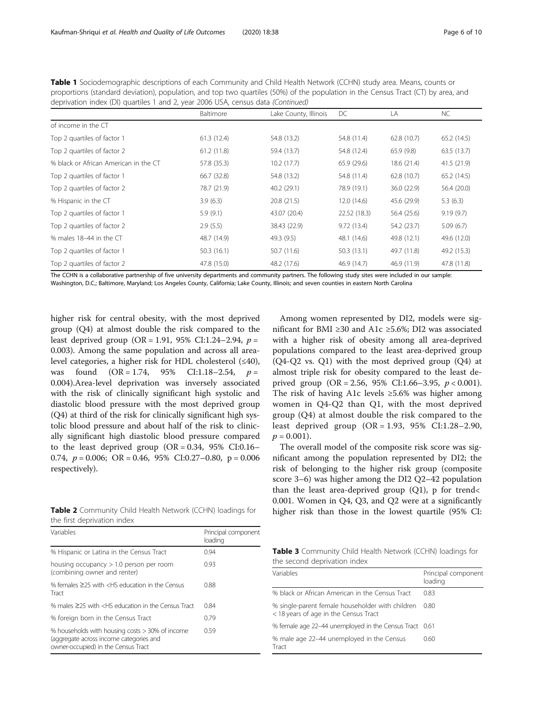<span id="page-5-0"></span>

| Table 1 Sociodemographic descriptions of each Community and Child Health Network (CCHN) study area. Means, counts or              |
|-----------------------------------------------------------------------------------------------------------------------------------|
| proportions (standard deviation), population, and top two quartiles (50%) of the population in the Census Tract (CT) by area, and |
| deprivation index (DI) quartiles 1 and 2, year 2006 USA, census data (Continued)                                                  |

|                                       | Baltimore   | Lake County, Illinois | DC           | LA          | <b>NC</b>   |
|---------------------------------------|-------------|-----------------------|--------------|-------------|-------------|
| of income in the CT                   |             |                       |              |             |             |
| Top 2 quartiles of factor 1           | 61.3(12.4)  | 54.8 (13.2)           | 54.8 (11.4)  | 62.8(10.7)  | 65.2(14.5)  |
| Top 2 quartiles of factor 2           | 61.2(11.8)  | 59.4 (13.7)           | 54.8 (12.4)  | 65.9 (9.8)  | 63.5(13.7)  |
| % black or African American in the CT | 57.8 (35.3) | 10.2(17.7)            | 65.9 (29.6)  | 18.6 (21.4) | 41.5 (21.9) |
| Top 2 quartiles of factor 1           | 66.7 (32.8) | 54.8 (13.2)           | 54.8 (11.4)  | 62.8 (10.7) | 65.2(14.5)  |
| Top 2 quartiles of factor 2           | 78.7 (21.9) | 40.2 (29.1)           | 78.9 (19.1)  | 36.0 (22.9) | 56.4 (20.0) |
| % Hispanic in the CT                  | 3.9(6.3)    | 20.8(21.5)            | 12.0(14.6)   | 45.6 (29.9) | 5.3(6.3)    |
| Top 2 quartiles of factor 1           | 5.9(9.1)    | 43.07 (20.4)          | 22.52 (18.3) | 56.4 (25.6) | 9.19(9.7)   |
| Top 2 quartiles of factor 2           | 2.9(5.5)    | 38.43 (22.9)          | 9.72(13.4)   | 54.2 (23.7) | 5.09(6.7)   |
| % males 18-44 in the CT               | 48.7 (14.9) | 49.3(9.5)             | 48.1 (14.6)  | 49.8 (12.1) | 49.6 (12.0) |
| Top 2 quartiles of factor 1           | 50.3(16.1)  | 50.7(11.6)            | 50.3(13.1)   | 49.7 (11.8) | 49.2 (15.3) |
| Top 2 quartiles of factor 2           | 47.8 (15.0) | 48.2 (17.6)           | 46.9 (14.7)  | 46.9 (11.9) | 47.8 (11.8) |

The CCHN is a collaborative partnership of five university departments and community partners. The following study sites were included in our sample: Washington, D.C.; Baltimore, Maryland; Los Angeles County, California; Lake County, Illinois; and seven counties in eastern North Carolina

higher risk for central obesity, with the most deprived group (Q4) at almost double the risk compared to the least deprived group (OR = 1.91, 95% CI:1.24–2.94,  $p =$ 0.003). Among the same population and across all arealevel categories, a higher risk for HDL cholesterol (≤40), was found  $(OR = 1.74, 95\% \text{ CI}: 1.18-2.54, p =$ 0.004).Area-level deprivation was inversely associated with the risk of clinically significant high systolic and diastolic blood pressure with the most deprived group (Q4) at third of the risk for clinically significant high systolic blood pressure and about half of the risk to clinically significant high diastolic blood pressure compared to the least deprived group  $(OR = 0.34, 95\% \text{ CI:}0.16-$ 0.74,  $p = 0.006$ ; OR = 0.46, 95% CI:0.27-0.80, p = 0.006 respectively).

Table 2 Community Child Health Network (CCHN) loadings for the first deprivation index

| Variables                                                                                                                         | Principal component<br>loading |
|-----------------------------------------------------------------------------------------------------------------------------------|--------------------------------|
| % Hispanic or Latina in the Census Tract                                                                                          | 0.94                           |
| housing occupancy $> 1.0$ person per room<br>(combining owner and renter)                                                         | 0.93                           |
| % females $\geq$ 25 with $\lt$ HS education in the Census<br>Tract                                                                | 0.88                           |
| % males $\geq$ 25 with <hs census="" education="" in="" td="" the="" tract<=""><td>0.84</td></hs>                                 | 0.84                           |
| % foreign born in the Census Tract                                                                                                | 0.79                           |
| % households with housing costs > 30% of income<br>(aggregate across income categories and<br>owner-occupied) in the Census Tract | 0.59                           |

Among women represented by DI2, models were significant for BMI ≥30 and A1c ≥5.6%; DI2 was associated with a higher risk of obesity among all area-deprived populations compared to the least area-deprived group (Q4-Q2 vs. Q1) with the most deprived group (Q4) at almost triple risk for obesity compared to the least deprived group (OR = 2.56, 95% CI:1.66–3.95,  $p < 0.001$ ). The risk of having A1c levels  $\geq 5.6\%$  was higher among women in Q4-Q2 than Q1, with the most deprived group (Q4) at almost double the risk compared to the least deprived group (OR = 1.93, 95% CI:1.28–2.90,  $p = 0.001$ .

The overall model of the composite risk score was significant among the population represented by DI2; the risk of belonging to the higher risk group (composite score 3–6) was higher among the DI2 Q2–42 population than the least area-deprived group  $(Q1)$ , p for trend< 0.001. Women in Q4, Q3, and Q2 were at a significantly higher risk than those in the lowest quartile (95% CI:

Table 3 Community Child Health Network (CCHN) loadings for the second deprivation index

| Variables                                                                                 | Principal component<br>loading |
|-------------------------------------------------------------------------------------------|--------------------------------|
| % black or African American in the Census Tract                                           | 0.83                           |
| % single-parent female householder with children<br>< 18 years of age in the Census Tract | 0.80                           |
| % female age 22-44 unemployed in the Census Tract 0.61                                    |                                |
| % male age 22-44 unemployed in the Census<br>Tract                                        | 0.60                           |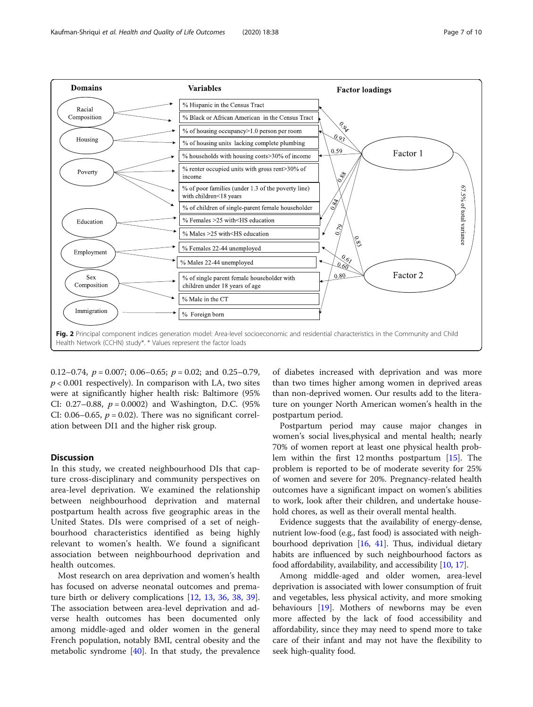<span id="page-6-0"></span>

0.12–0.74,  $p = 0.007$ ; 0.06–0.65;  $p = 0.02$ ; and 0.25–0.79,  $p < 0.001$  respectively). In comparison with LA, two sites were at significantly higher health risk: Baltimore (95% CI: 0.27–0.88,  $p = 0.0002$ ) and Washington, D.C. (95%) CI: 0.06–0.65,  $p = 0.02$ ). There was no significant correlation between DI1 and the higher risk group.

# Discussion

In this study, we created neighbourhood DIs that capture cross-disciplinary and community perspectives on area-level deprivation. We examined the relationship between neighbourhood deprivation and maternal postpartum health across five geographic areas in the United States. DIs were comprised of a set of neighbourhood characteristics identified as being highly relevant to women's health. We found a significant association between neighbourhood deprivation and health outcomes.

Most research on area deprivation and women's health has focused on adverse neonatal outcomes and premature birth or delivery complications [\[12](#page-8-0), [13](#page-8-0), [36,](#page-9-0) [38,](#page-9-0) [39](#page-9-0)]. The association between area-level deprivation and adverse health outcomes has been documented only among middle-aged and older women in the general French population, notably BMI, central obesity and the metabolic syndrome  $[40]$  $[40]$  $[40]$ . In that study, the prevalence of diabetes increased with deprivation and was more than two times higher among women in deprived areas than non-deprived women. Our results add to the literature on younger North American women's health in the postpartum period.

Postpartum period may cause major changes in women's social lives,physical and mental health; nearly 70% of women report at least one physical health problem within the first 12 months postpartum [[15](#page-8-0)]. The problem is reported to be of moderate severity for 25% of women and severe for 20%. Pregnancy-related health outcomes have a significant impact on women's abilities to work, look after their children, and undertake household chores, as well as their overall mental health.

Evidence suggests that the availability of energy-dense, nutrient low-food (e.g., fast food) is associated with neighbourhood deprivation [\[16](#page-8-0), [41\]](#page-9-0). Thus, individual dietary habits are influenced by such neighbourhood factors as food affordability, availability, and accessibility [[10](#page-8-0), [17\]](#page-8-0).

Among middle-aged and older women, area-level deprivation is associated with lower consumption of fruit and vegetables, less physical activity, and more smoking behaviours [\[19](#page-8-0)]. Mothers of newborns may be even more affected by the lack of food accessibility and affordability, since they may need to spend more to take care of their infant and may not have the flexibility to seek high-quality food.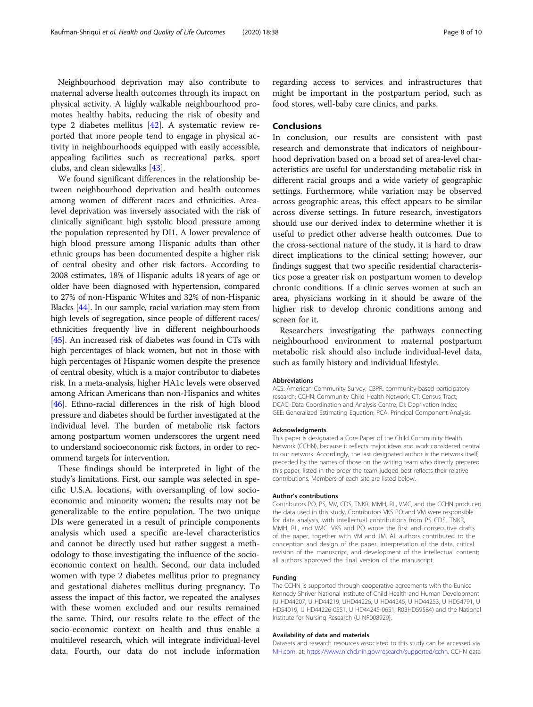Neighbourhood deprivation may also contribute to maternal adverse health outcomes through its impact on physical activity. A highly walkable neighbourhood promotes healthy habits, reducing the risk of obesity and type 2 diabetes mellitus [[42\]](#page-9-0). A systematic review reported that more people tend to engage in physical activity in neighbourhoods equipped with easily accessible, appealing facilities such as recreational parks, sport clubs, and clean sidewalks [[43](#page-9-0)].

We found significant differences in the relationship between neighbourhood deprivation and health outcomes among women of different races and ethnicities. Arealevel deprivation was inversely associated with the risk of clinically significant high systolic blood pressure among the population represented by DI1. A lower prevalence of high blood pressure among Hispanic adults than other ethnic groups has been documented despite a higher risk of central obesity and other risk factors. According to 2008 estimates, 18% of Hispanic adults 18 years of age or older have been diagnosed with hypertension, compared to 27% of non-Hispanic Whites and 32% of non-Hispanic Blacks [\[44\]](#page-9-0). In our sample, racial variation may stem from high levels of segregation, since people of different races/ ethnicities frequently live in different neighbourhoods [[45](#page-9-0)]. An increased risk of diabetes was found in CTs with high percentages of black women, but not in those with high percentages of Hispanic women despite the presence of central obesity, which is a major contributor to diabetes risk. In a meta-analysis, higher HA1c levels were observed among African Americans than non-Hispanics and whites [[46](#page-9-0)]. Ethno-racial differences in the risk of high blood pressure and diabetes should be further investigated at the individual level. The burden of metabolic risk factors among postpartum women underscores the urgent need to understand socioeconomic risk factors, in order to recommend targets for intervention.

These findings should be interpreted in light of the study's limitations. First, our sample was selected in specific U.S.A. locations, with oversampling of low socioeconomic and minority women; the results may not be generalizable to the entire population. The two unique DIs were generated in a result of principle components analysis which used a specific are-level characteristics and cannot be directly used but rather suggest a methodology to those investigating the influence of the socioeconomic context on health. Second, our data included women with type 2 diabetes mellitus prior to pregnancy and gestational diabetes mellitus during pregnancy. To assess the impact of this factor, we repeated the analyses with these women excluded and our results remained the same. Third, our results relate to the effect of the socio-economic context on health and thus enable a multilevel research, which will integrate individual-level data. Fourth, our data do not include information

regarding access to services and infrastructures that might be important in the postpartum period, such as food stores, well-baby care clinics, and parks.

# Conclusions

In conclusion, our results are consistent with past research and demonstrate that indicators of neighbourhood deprivation based on a broad set of area-level characteristics are useful for understanding metabolic risk in different racial groups and a wide variety of geographic settings. Furthermore, while variation may be observed across geographic areas, this effect appears to be similar across diverse settings. In future research, investigators should use our derived index to determine whether it is useful to predict other adverse health outcomes. Due to the cross-sectional nature of the study, it is hard to draw direct implications to the clinical setting; however, our findings suggest that two specific residential characteristics pose a greater risk on postpartum women to develop chronic conditions. If a clinic serves women at such an area, physicians working in it should be aware of the higher risk to develop chronic conditions among and screen for it.

Researchers investigating the pathways connecting neighbourhood environment to maternal postpartum metabolic risk should also include individual-level data, such as family history and individual lifestyle.

#### Abbreviations

ACS: American Community Survey; CBPR: community-based participatory research; CCHN: Community Child Health Network; CT: Census Tract; DCAC: Data Coordination and Analysis Centre; DI: Deprivation Index; GEE: Generalized Estimating Equation; PCA: Principal Component Analysis

#### Acknowledgments

This paper is designated a Core Paper of the Child Community Health Network (CCHN), because it reflects major ideas and work considered central to our network. Accordingly, the last designated author is the network itself, preceded by the names of those on the writing team who directly prepared this paper, listed in the order the team judged best reflects their relative contributions. Members of each site are listed below.

#### Author's contributions

Contributors PO, PS, MV, CDS, TNKR, MMH, RL, VMC, and the CCHN produced the data used in this study. Contributors VKS PO and VM were responsible for data analysis, with intellectual contributions from PS CDS, TNKR, MMH, RL, and VMC. VKS and PO wrote the first and consecutive drafts of the paper, together with VM and JM. All authors contributed to the conception and design of the paper, interpretation of the data, critical revision of the manuscript, and development of the intellectual content; all authors approved the final version of the manuscript.

#### Funding

The CCHN is supported through cooperative agreements with the Eunice Kennedy Shriver National Institute of Child Health and Human Development (U HD44207, U HD44219, UHD44226, U HD44245, U HD44253, U HD54791, U HD54019, U HD44226-05S1, U HD44245-06S1, R03HD59584) and the National Institute for Nursing Research (U NR008929).

#### Availability of data and materials

Datasets and research resources associated to this study can be accessed via [NIH.com](http://nih.com), at: [https://www.nichd.nih.gov/research/supported/cchn.](https://www.nichd.nih.gov/research/supported/cchn) CCHN data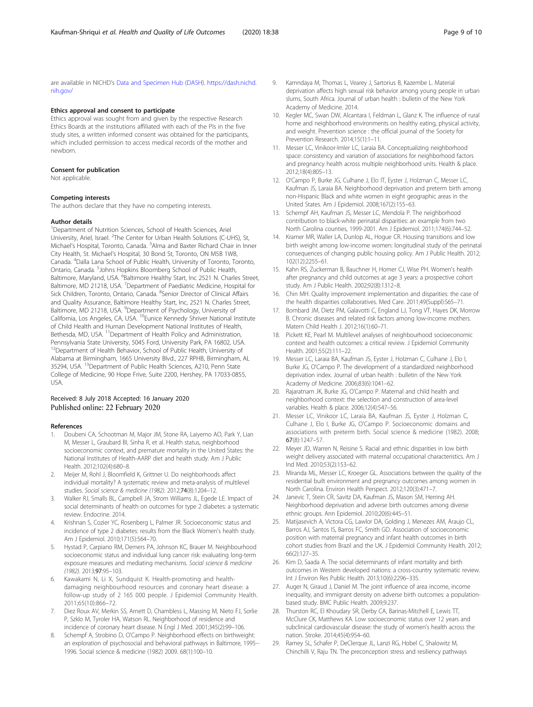<span id="page-8-0"></span>are available in NICHD's [Data and Specimen Hub \(DASH](https://dash.nichd.nih.gov/)). [https://dash.nichd.](https://dash.nichd.nih.gov/) [nih.gov/](https://dash.nichd.nih.gov/)

#### Ethics approval and consent to participate

Ethics approval was sought from and given by the respective Research Ethics Boards at the institutions affiliated with each of the PIs in the five study sites, a written informed consent was obtained for the participants, which included permission to access medical records of the mother and newborn.

#### Consent for publication

Not applicable.

#### Competing interests

The authors declare that they have no competing interests.

#### Author details

<sup>1</sup>Department of Nutrition Sciences, School of Health Sciences, Ariel University, Ariel, Israel. <sup>2</sup>The Center for Urban Health Solutions (C-UHS), St, Michael's Hospital, Toronto, Canada. <sup>3</sup>Alma and Baxter Richard Chair in Inner City Health, St. Michael's Hospital, 30 Bond St, Toronto, ON M5B 1W8, Canada. <sup>4</sup> Dalla Lana School of Public Health, University of Toronto, Toronto, Ontario, Canada. <sup>5</sup>Johns Hopkins Bloomberg School of Public Health, Baltimore, Maryland, USA. <sup>6</sup>Baltimore Healthy Start, Inc 2521 N. Charles Street, Baltimore, MD 21218, USA. <sup>7</sup> Department of Paediatric Medicine, Hospital for Sick Children, Toronto, Ontario, Canada. <sup>8</sup>Senior Director of Clinical Affairs and Quality Assurance, Baltimore Healthy Start, Inc, 2521 N. Charles Street, Baltimore, MD 21218, USA. <sup>9</sup>Department of Psychology, University of California, Los Angeles, CA, USA. 10Eunice Kennedy Shriver National Institute of Child Health and Human Development National Institutes of Health, Bethesda, MD, USA.<sup>11</sup>Department of Health Policy and Administration, Pennsylvania State University, 504S Ford, University Park, PA 16802, USA. <sup>12</sup>Department of Health Behavior, School of Public Health, University of Alabama at Birmingham, 1665 University Blvd., 227 RPHB, Birmingham, AL 35294, USA. 13Department of Public Health Sciences, A210, Penn State College of Medicine, 90 Hope Frive, Suite 2200, Hershey, PA 17033-0855, USA.

# Received: 8 July 2018 Accepted: 16 January 2020 Published online: 22 February 2020

#### References

- 1. Doubeni CA, Schootman M, Major JM, Stone RA, Laiyemo AO, Park Y, Lian M, Messer L, Graubard BI, Sinha R, et al. Health status, neighborhood socioeconomic context, and premature mortality in the United States: the National Institutes of Health-AARP diet and health study. Am J Public Health. 2012;102(4):680–8.
- 2. Meijer M, Rohl J, Bloomfield K, Grittner U. Do neighborhoods affect individual mortality? A systematic review and meta-analysis of multilevel studies. Social science & medicine (1982). 2012;74(8):1204–12.
- 3. Walker RJ, Smalls BL, Campbell JA, Strom Williams JL, Egede LE. Impact of social determinants of health on outcomes for type 2 diabetes: a systematic review. Endocrine. 2014.
- 4. Krishnan S, Cozier YC, Rosenberg L, Palmer JR. Socioeconomic status and incidence of type 2 diabetes: results from the Black Women's health study. Am J Epidemiol. 2010;171(5):564–70.
- 5. Hystad P, Carpiano RM, Demers PA, Johnson KC, Brauer M. Neighbourhood socioeconomic status and individual lung cancer risk: evaluating long-term exposure measures and mediating mechanisms. Social science & medicine (1982). 2013;97:95–103.
- Kawakami N, Li X, Sundquist K. Health-promoting and healthdamaging neighbourhood resources and coronary heart disease: a follow-up study of 2 165 000 people. J Epidemiol Community Health. 2011;65(10):866–72.
- Diez Roux AV, Merkin SS, Arnett D, Chambless L, Massing M, Nieto FJ, Sorlie P, Szklo M, Tyroler HA, Watson RL. Neighborhood of residence and incidence of coronary heart disease. N Engl J Med. 2001;345(2):99–106.
- Schempf A, Strobino D, O'Campo P. Neighborhood effects on birthweight: an exploration of psychosocial and behavioral pathways in Baltimore, 1995-- 1996. Social science & medicine (1982) 2009. 68(1):100–10.
- 9. Kamndaya M, Thomas L, Vearey J, Sartorius B, Kazembe L. Material deprivation affects high sexual risk behavior among young people in urban slums, South Africa. Journal of urban health : bulletin of the New York Academy of Medicine. 2014.
- 10. Kegler MC, Swan DW, Alcantara I, Feldman L, Glanz K. The influence of rural home and neighborhood environments on healthy eating, physical activity, and weight. Prevention science : the official journal of the Society for Prevention Research. 2014;15(1):1–11.
- 11. Messer LC, Vinikoor-Imler LC, Laraia BA. Conceptualizing neighborhood space: consistency and variation of associations for neighborhood factors and pregnancy health across multiple neighborhood units. Health & place. 2012;18(4):805–13.
- 12. O'Campo P, Burke JG, Culhane J, Elo IT, Eyster J, Holzman C, Messer LC, Kaufman JS, Laraia BA. Neighborhood deprivation and preterm birth among non-Hispanic Black and white women in eight geographic areas in the United States. Am J Epidemiol. 2008;167(2):155–63.
- 13. Schempf AH, Kaufman JS, Messer LC, Mendola P. The neighborhood contribution to black-white perinatal disparities: an example from two North Carolina counties, 1999-2001. Am J Epidemiol. 2011;174(6):744–52.
- 14. Kramer MR, Waller LA, Dunlop AL, Hogue CR. Housing transitions and low birth weight among low-income women: longitudinal study of the perinatal consequences of changing public housing policy. Am J Public Health. 2012; 102(12):2255–61.
- 15. Kahn RS, Zuckerman B, Bauchner H, Homer CJ, Wise PH. Women's health after pregnancy and child outcomes at age 3 years: a prospective cohort study. Am J Public Health. 2002;92(8):1312–8.
- 16. Chin MH. Quality improvement implementation and disparities: the case of the health disparities collaboratives. Med Care. 2011;49(Suppl):S65–71.
- 17. Bombard JM, Dietz PM, Galavotti C, England LJ, Tong VT, Hayes DK, Morrow B. Chronic diseases and related risk factors among low-income mothers. Matern Child Health J. 2012;16(1):60–71.
- 18. Pickett KE, Pearl M. Multilevel analyses of neighbourhood socioeconomic context and health outcomes: a critical review. J Epidemiol Community Health. 2001;55(2):111–22.
- 19. Messer LC, Laraia BA, Kaufman JS, Eyster J, Holzman C, Culhane J, Elo I, Burke JG, O'Campo P. The development of a standardized neighborhood deprivation index. Journal of urban health : bulletin of the New York Academy of Medicine. 2006;83(6):1041–62.
- 20. Rajaratnam JK, Burke JG, O'Campo P. Maternal and child health and neighborhood context: the selection and construction of area-level variables. Health & place. 2006;12(4):547–56.
- 21. Messer LC, Vinikoor LC, Laraia BA, Kaufman JS, Eyster J, Holzman C, Culhane J, Elo I, Burke JG, O'Campo P. Socioeconomic domains and associations with preterm birth. Social science & medicine (1982). 2008; 67(8):1247–57.
- 22. Meyer JD, Warren N, Reisine S. Racial and ethnic disparities in low birth weight delivery associated with maternal occupational characteristics. Am J Ind Med. 2010;53(2):153–62.
- 23. Miranda ML, Messer LC, Kroeger GL. Associations between the quality of the residential built environment and pregnancy outcomes among women in North Carolina. Environ Health Perspect. 2012;120(3):471–7.
- 24. Janevic T, Stein CR, Savitz DA, Kaufman JS, Mason SM, Herring AH. Neighborhood deprivation and adverse birth outcomes among diverse ethnic groups. Ann Epidemiol. 2010;20(6):445–51.
- 25. Matijasevich A, Victora CG, Lawlor DA, Golding J, Menezes AM, Araujo CL, Barros AJ, Santos IS, Barros FC, Smith GD. Association of socioeconomic position with maternal pregnancy and infant health outcomes in birth cohort studies from Brazil and the UK. J Epidemiol Community Health. 2012; 66(2):127–35.
- 26. Kim D, Saada A. The social determinants of infant mortality and birth outcomes in Western developed nations: a cross-country systematic review. Int J Environ Res Public Health. 2013;10(6):2296–335.
- 27. Auger N, Giraud J, Daniel M. The joint influence of area income, income inequality, and immigrant density on adverse birth outcomes: a populationbased study. BMC Public Health. 2009;9:237.
- 28. Thurston RC, El Khoudary SR, Derby CA, Barinas-Mitchell E, Lewis TT, McClure CK, Matthews KA. Low socioeconomic status over 12 years and subclinical cardiovascular disease: the study of women's health across the nation. Stroke. 2014;45(4):954–60.
- 29. Ramey SL, Schafer P, DeClerque JL, Lanzi RG, Hobel C, Shalowitz M, Chinchilli V, Raju TN. The preconception stress and resiliency pathways